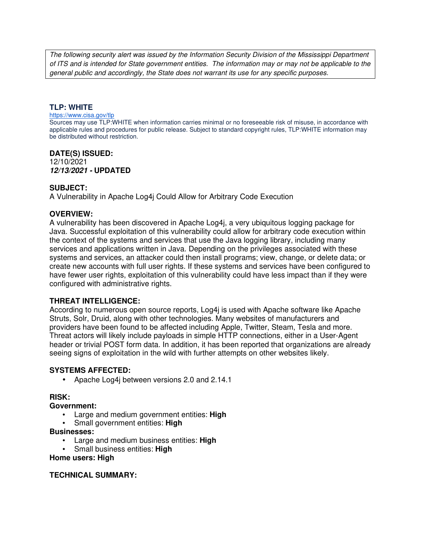The following security alert was issued by the Information Security Division of the Mississippi Department of ITS and is intended for State government entities. The information may or may not be applicable to the general public and accordingly, the State does not warrant its use for any specific purposes.

#### **TLP: WHITE**

#### https://www.cisa.gov/tlp

Sources may use TLP:WHITE when information carries minimal or no foreseeable risk of misuse, in accordance with applicable rules and procedures for public release. Subject to standard copyright rules, TLP:WHITE information may be distributed without restriction.

#### **DATE(S) ISSUED:** 12/10/2021 **12/13/2021 - UPDATED**

### **SUBJECT:**

A Vulnerability in Apache Log4j Could Allow for Arbitrary Code Execution

### **OVERVIEW:**

A vulnerability has been discovered in Apache Log4j, a very ubiquitous logging package for Java. Successful exploitation of this vulnerability could allow for arbitrary code execution within the context of the systems and services that use the Java logging library, including many services and applications written in Java. Depending on the privileges associated with these systems and services, an attacker could then install programs; view, change, or delete data; or create new accounts with full user rights. If these systems and services have been configured to have fewer user rights, exploitation of this vulnerability could have less impact than if they were configured with administrative rights.

#### **THREAT INTELLIGENCE:**

According to numerous open source reports, Log4j is used with Apache software like Apache Struts, Solr, Druid, along with other technologies. Many websites of manufacturers and providers have been found to be affected including Apple, Twitter, Steam, Tesla and more. Threat actors will likely include payloads in simple HTTP connections, either in a User-Agent header or trivial POST form data. In addition, it has been reported that organizations are already seeing signs of exploitation in the wild with further attempts on other websites likely.

#### **SYSTEMS AFFECTED:**

• Apache Log4j between versions 2.0 and 2.14.1

## **RISK:**

#### **Government:**

- Large and medium government entities: **High**
- Small government entities: **High**

#### **Businesses:**

- Large and medium business entities: **High**
- Small business entities: **High**

#### **Home users: High**

#### **TECHNICAL SUMMARY:**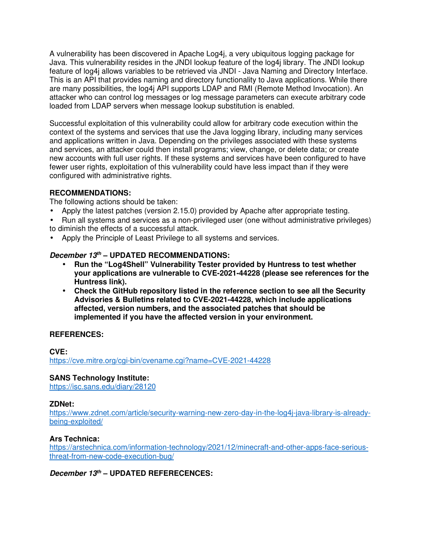A vulnerability has been discovered in Apache Log4j, a very ubiquitous logging package for Java. This vulnerability resides in the JNDI lookup feature of the log4j library. The JNDI lookup feature of log4j allows variables to be retrieved via JNDI - Java Naming and Directory Interface. This is an API that provides naming and directory functionality to Java applications. While there are many possibilities, the log4j API supports LDAP and RMI (Remote Method Invocation). An attacker who can control log messages or log message parameters can execute arbitrary code loaded from LDAP servers when message lookup substitution is enabled.

Successful exploitation of this vulnerability could allow for arbitrary code execution within the context of the systems and services that use the Java logging library, including many services and applications written in Java. Depending on the privileges associated with these systems and services, an attacker could then install programs; view, change, or delete data; or create new accounts with full user rights. If these systems and services have been configured to have fewer user rights, exploitation of this vulnerability could have less impact than if they were configured with administrative rights.

## **RECOMMENDATIONS:**

The following actions should be taken:

- Apply the latest patches (version 2.15.0) provided by Apache after appropriate testing.
- Run all systems and services as a non-privileged user (one without administrative privileges) to diminish the effects of a successful attack.
- Apply the Principle of Least Privilege to all systems and services.

# **December 13th – UPDATED RECOMMENDATIONS:**

- **Run the "Log4Shell" Vulnerability Tester provided by Huntress to test whether your applications are vulnerable to CVE-2021-44228 (please see references for the Huntress link).**
- **Check the GitHub repository listed in the reference section to see all the Security Advisories & Bulletins related to CVE-2021-44228, which include applications affected, version numbers, and the associated patches that should be implemented if you have the affected version in your environment.**

## **REFERENCES:**

## **CVE:** https://cve.mitre.org/cgi-bin/cvename.cgi?name=CVE-2021-44228

## **SANS Technology Institute:**

https://isc.sans.edu/diary/28120

## **ZDNet:**

https://www.zdnet.com/article/security-warning-new-zero-day-in-the-log4j-java-library-is-alreadybeing-exploited/

## **Ars Technica:**

https://arstechnica.com/information-technology/2021/12/minecraft-and-other-apps-face-seriousthreat-from-new-code-execution-bug/

# **December 13th – UPDATED REFERECENCES:**